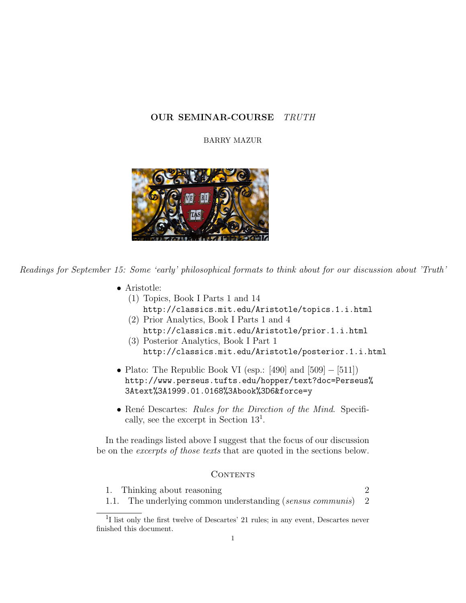# OUR SEMINAR-COURSE TRUTH

## BARRY MAZUR



Readings for September 15: Some 'early' philosophical formats to think about for our discussion about 'Truth'

- Aristotle:
	- (1) Topics, Book I Parts 1 and 14
		- http://classics.mit.edu/Aristotle/topics.1.i.html
	- (2) Prior Analytics, Book I Parts 1 and 4 http://classics.mit.edu/Aristotle/prior.1.i.html
	- (3) Posterior Analytics, Book I Part 1 http://classics.mit.edu/Aristotle/posterior.1.i.html
- Plato: The Republic Book VI (esp.: [490] and  $[509] [511]$ ) http://www.perseus.tufts.edu/hopper/text?doc=Perseus% 3Atext%3A1999.01.0168%3Abook%3D6&force=y
- René Descartes: Rules for the Direction of the Mind. Specifically, see the excerpt in Section  $13<sup>1</sup>$ .

In the readings listed above I suggest that the focus of our discussion be on the excerpts of those texts that are quoted in the sections below.

## **CONTENTS**

| 1. Thinking about reasoning                                  |  |
|--------------------------------------------------------------|--|
| 1.1. The underlying common understanding (sensus communis) 2 |  |

<sup>&</sup>lt;sup>1</sup>I list only the first twelve of Descartes' 21 rules; in any event, Descartes never finished this document.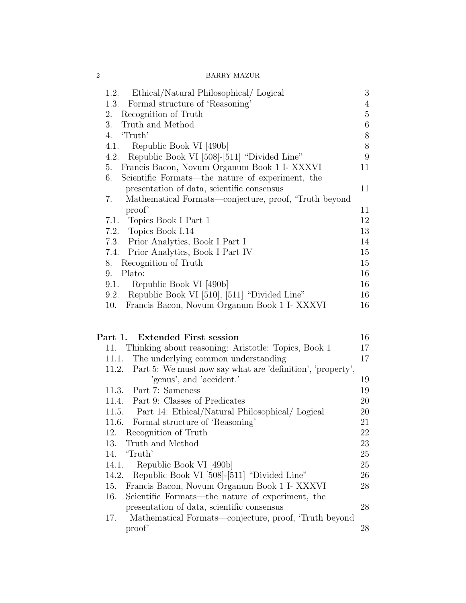| Ethical/Natural Philosophical/Logical<br>1.2.                    | $\boldsymbol{3}$ |
|------------------------------------------------------------------|------------------|
| Formal structure of 'Reasoning'<br>1.3.                          | $\,4\,$          |
| Recognition of Truth<br>2.                                       | $\bf 5$          |
| 3.<br>Truth and Method                                           | $\,6$            |
| 4.<br>'Truth'                                                    | $8\,$            |
| 4.1.<br>Republic Book VI [490b]                                  | $\,8$            |
| Republic Book VI [508]-[511] "Divided Line"<br>4.2.              | $9\,$            |
| Francis Bacon, Novum Organum Book 1 I- XXXVI<br>5.               | 11               |
| Scientific Formats—the nature of experiment, the<br>6.           |                  |
| presentation of data, scientific consensus                       | 11               |
| Mathematical Formats—conjecture, proof, 'Truth beyond<br>7.      |                  |
| proof                                                            | 11               |
| 7.1. Topics Book I Part 1                                        | 12               |
| 7.2. Topics Book I.14                                            | 13               |
| 7.3. Prior Analytics, Book I Part I                              | 14               |
| 7.4. Prior Analytics, Book I Part IV                             | 15               |
| Recognition of Truth<br>8.                                       | 15               |
| 9.<br>Plato:                                                     | 16               |
| Republic Book VI [490b]<br>9.1.                                  | 16               |
| Republic Book VI [510], [511] "Divided Line"<br>9.2.             | 16               |
| Francis Bacon, Novum Organum Book 1 I- XXXVI<br>10.              | 16               |
|                                                                  |                  |
|                                                                  |                  |
| <b>Extended First session</b><br>$\rm Part~1.$                   | 16               |
| Thinking about reasoning: Aristotle: Topics, Book 1<br>11.       | 17               |
| The underlying common understanding<br>11.1.                     | 17               |
| 11.2. Part 5: We must now say what are 'definition', 'property', |                  |
| 'genus', and 'accident.'                                         | 19               |
| 11.3. Part 7: Sameness                                           | 19               |
| Part 9: Classes of Predicates<br>11.4.                           | 20               |
| Part 14: Ethical/Natural Philosophical/ Logical<br>11.5.         | 20               |
| Formal structure of 'Reasoning'<br>11.6.                         | 21               |
| 12.<br>Recognition of Truth                                      | 22               |
| Truth and Method<br>13.                                          | 23               |
| 14.<br>'Truth'                                                   | 25               |
| Republic Book VI [490b]<br>14.1.                                 | 25               |
| Republic Book VI [508]-[511] "Divided Line"<br>14.2.             | 26               |
| 15.<br>Francis Bacon, Novum Organum Book 1 I- XXXVI              | 28               |
| 16.<br>Scientific Formats—the nature of experiment, the          |                  |
| presentation of data, scientific consensus                       | 28               |
| 17.<br>Mathematical Formats—conjecture, proof, 'Truth beyond     |                  |
| proof'                                                           | 28               |
|                                                                  |                  |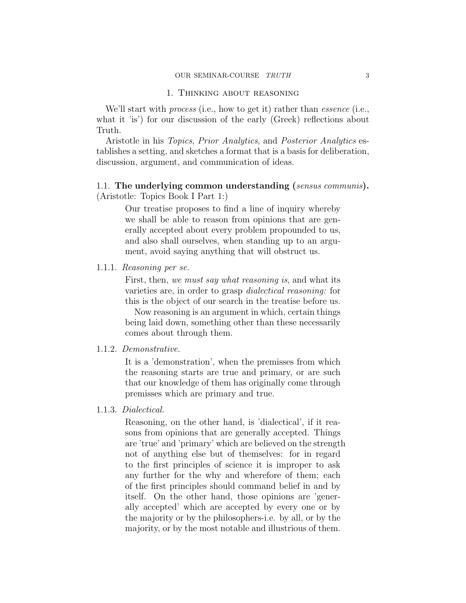#### OUR SEMINAR-COURSE TRUTH 3

### 1. Thinking about reasoning

We'll start with *process* (i.e., how to get it) rather than *essence* (i.e., what it 'is') for our discussion of the early (Greek) reflections about Truth.

Aristotle in his Topics, Prior Analytics, and Posterior Analytics establishes a setting, and sketches a format that is a basis for deliberation, discussion, argument, and communication of ideas.

1.1. The underlying common understanding (sensus communis). (Aristotle: Topics Book I Part 1:)

> Our treatise proposes to find a line of inquiry whereby we shall be able to reason from opinions that are generally accepted about every problem propounded to us, and also shall ourselves, when standing up to an argument, avoid saying anything that will obstruct us.

## 1.1.1. Reasoning per se.

First, then, we must say what reasoning is, and what its varieties are, in order to grasp dialectical reasoning: for this is the object of our search in the treatise before us.

Now reasoning is an argument in which, certain things being laid down, something other than these necessarily comes about through them.

#### 1.1.2. Demonstrative.

It is a 'demonstration', when the premisses from which the reasoning starts are true and primary, or are such that our knowledge of them has originally come through premisses which are primary and true.

## 1.1.3. Dialectical.

Reasoning, on the other hand, is 'dialectical', if it reasons from opinions that are generally accepted. Things are 'true' and 'primary' which are believed on the strength not of anything else but of themselves: for in regard to the first principles of science it is improper to ask any further for the why and wherefore of them; each of the first principles should command belief in and by itself. On the other hand, those opinions are 'generally accepted' which are accepted by every one or by the majority or by the philosophers-i.e. by all, or by the majority, or by the most notable and illustrious of them.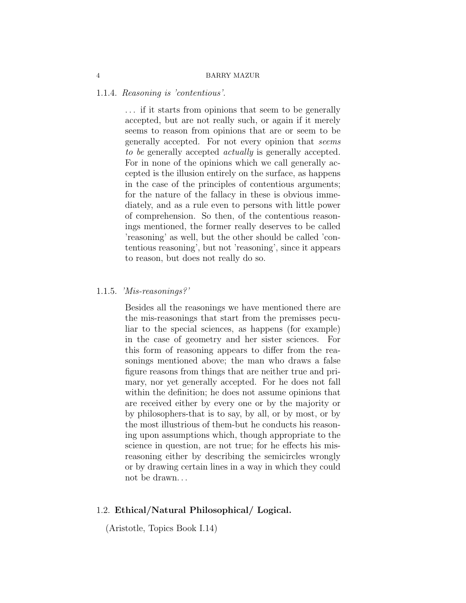1.1.4. Reasoning is 'contentious'.

. . . if it starts from opinions that seem to be generally accepted, but are not really such, or again if it merely seems to reason from opinions that are or seem to be generally accepted. For not every opinion that seems to be generally accepted actually is generally accepted. For in none of the opinions which we call generally accepted is the illusion entirely on the surface, as happens in the case of the principles of contentious arguments; for the nature of the fallacy in these is obvious immediately, and as a rule even to persons with little power of comprehension. So then, of the contentious reasonings mentioned, the former really deserves to be called 'reasoning' as well, but the other should be called 'contentious reasoning', but not 'reasoning', since it appears to reason, but does not really do so.

#### 1.1.5. 'Mis-reasonings?'

Besides all the reasonings we have mentioned there are the mis-reasonings that start from the premisses peculiar to the special sciences, as happens (for example) in the case of geometry and her sister sciences. For this form of reasoning appears to differ from the reasonings mentioned above; the man who draws a false figure reasons from things that are neither true and primary, nor yet generally accepted. For he does not fall within the definition; he does not assume opinions that are received either by every one or by the majority or by philosophers-that is to say, by all, or by most, or by the most illustrious of them-but he conducts his reasoning upon assumptions which, though appropriate to the science in question, are not true; for he effects his misreasoning either by describing the semicircles wrongly or by drawing certain lines in a way in which they could not be drawn. . .

# 1.2. Ethical/Natural Philosophical/ Logical.

(Aristotle, Topics Book I.14)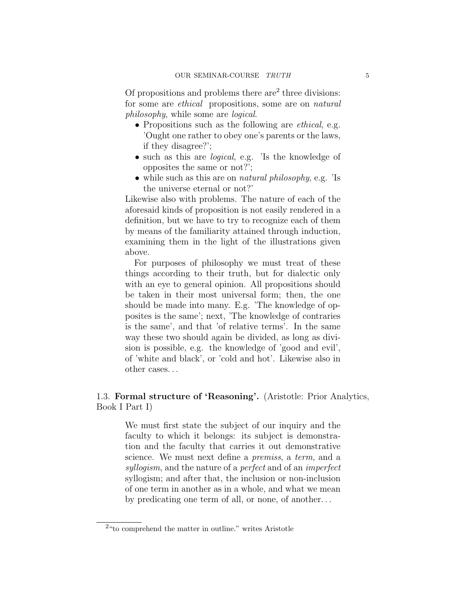Of propositions and problems there  $are<sup>2</sup>$  three divisions: for some are ethical propositions, some are on natural philosophy, while some are logical.

- Propositions such as the following are *ethical*, e.g. 'Ought one rather to obey one's parents or the laws, if they disagree?';
- such as this are *logical*, e.g. 'Is the knowledge of opposites the same or not?';
- while such as this are on *natural philosophy*, e.g. 'Is the universe eternal or not?'

Likewise also with problems. The nature of each of the aforesaid kinds of proposition is not easily rendered in a definition, but we have to try to recognize each of them by means of the familiarity attained through induction, examining them in the light of the illustrations given above.

For purposes of philosophy we must treat of these things according to their truth, but for dialectic only with an eye to general opinion. All propositions should be taken in their most universal form; then, the one should be made into many. E.g. 'The knowledge of opposites is the same'; next, 'The knowledge of contraries is the same', and that 'of relative terms'. In the same way these two should again be divided, as long as division is possible, e.g. the knowledge of 'good and evil', of 'white and black', or 'cold and hot'. Likewise also in other cases. . .

# 1.3. Formal structure of 'Reasoning'. (Aristotle: Prior Analytics, Book I Part I)

We must first state the subject of our inquiry and the faculty to which it belongs: its subject is demonstration and the faculty that carries it out demonstrative science. We must next define a premiss, a term, and a syllogism, and the nature of a *perfect* and of an *imperfect* syllogism; and after that, the inclusion or non-inclusion of one term in another as in a whole, and what we mean by predicating one term of all, or none, of another. . .

<sup>2</sup> "to comprehend the matter in outline." writes Aristotle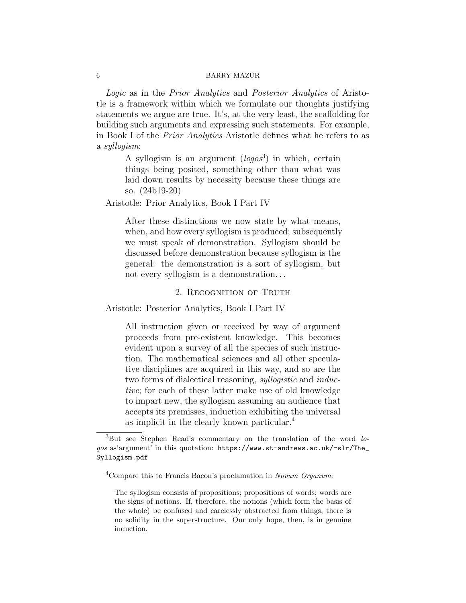Logic as in the Prior Analytics and Posterior Analytics of Aristotle is a framework within which we formulate our thoughts justifying statements we argue are true. It's, at the very least, the scaffolding for building such arguments and expressing such statements. For example, in Book I of the Prior Analytics Aristotle defines what he refers to as a syllogism:

> A syllogism is an argument  $(logos^3)$  in which, certain things being posited, something other than what was laid down results by necessity because these things are so. (24b19-20)

Aristotle: Prior Analytics, Book I Part IV

After these distinctions we now state by what means, when, and how every syllogism is produced; subsequently we must speak of demonstration. Syllogism should be discussed before demonstration because syllogism is the general: the demonstration is a sort of syllogism, but not every syllogism is a demonstration. . .

### 2. Recognition of Truth

Aristotle: Posterior Analytics, Book I Part IV

All instruction given or received by way of argument proceeds from pre-existent knowledge. This becomes evident upon a survey of all the species of such instruction. The mathematical sciences and all other speculative disciplines are acquired in this way, and so are the two forms of dialectical reasoning, syllogistic and inductive; for each of these latter make use of old knowledge to impart new, the syllogism assuming an audience that accepts its premisses, induction exhibiting the universal as implicit in the clearly known particular.<sup>4</sup>

<sup>4</sup>Compare this to Francis Bacon's proclamation in Novum Organum:

<sup>&</sup>lt;sup>3</sup>But see Stephen Read's commentary on the translation of the word logos as'argument' in this quotation: https://www.st-andrews.ac.uk/~slr/The\_ Syllogism.pdf

The syllogism consists of propositions; propositions of words; words are the signs of notions. If, therefore, the notions (which form the basis of the whole) be confused and carelessly abstracted from things, there is no solidity in the superstructure. Our only hope, then, is in genuine induction.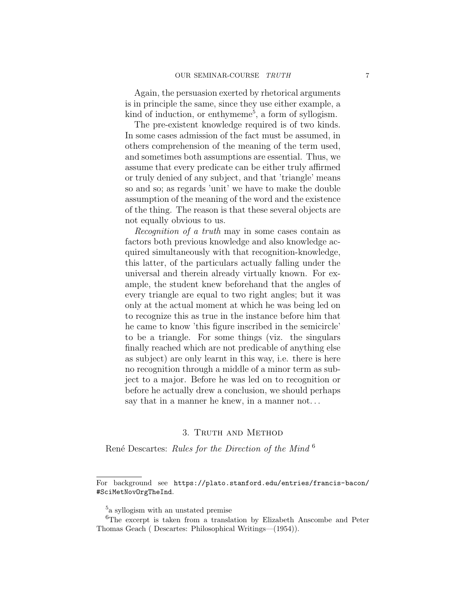Again, the persuasion exerted by rhetorical arguments is in principle the same, since they use either example, a kind of induction, or enthymeme<sup>5</sup>, a form of syllogism.

The pre-existent knowledge required is of two kinds. In some cases admission of the fact must be assumed, in others comprehension of the meaning of the term used, and sometimes both assumptions are essential. Thus, we assume that every predicate can be either truly affirmed or truly denied of any subject, and that 'triangle' means so and so; as regards 'unit' we have to make the double assumption of the meaning of the word and the existence of the thing. The reason is that these several objects are not equally obvious to us.

Recognition of a truth may in some cases contain as factors both previous knowledge and also knowledge acquired simultaneously with that recognition-knowledge, this latter, of the particulars actually falling under the universal and therein already virtually known. For example, the student knew beforehand that the angles of every triangle are equal to two right angles; but it was only at the actual moment at which he was being led on to recognize this as true in the instance before him that he came to know 'this figure inscribed in the semicircle' to be a triangle. For some things (viz. the singulars finally reached which are not predicable of anything else as subject) are only learnt in this way, i.e. there is here no recognition through a middle of a minor term as subject to a major. Before he was led on to recognition or before he actually drew a conclusion, we should perhaps say that in a manner he knew, in a manner not. . .

## 3. TRUTH AND METHOD

René Descartes: Rules for the Direction of the Mind  $6$ 

For background see https://plato.stanford.edu/entries/francis-bacon/ #SciMetNovOrgTheInd.

<sup>5</sup> a syllogism with an unstated premise

<sup>6</sup>The excerpt is taken from a translation by Elizabeth Anscombe and Peter Thomas Geach ( Descartes: Philosophical Writings—(1954)).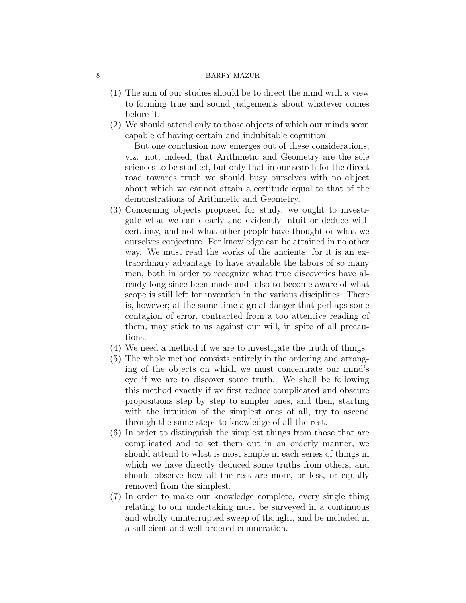- (1) The aim of our studies should be to direct the mind with a view to forming true and sound judgements about whatever comes before it.
- (2) We should attend only to those objects of which our minds seem capable of having certain and indubitable cognition.

But one conclusion now emerges out of these considerations, viz. not, indeed, that Arithmetic and Geometry are the sole sciences to be studied, but only that in our search for the direct road towards truth we should busy ourselves with no object about which we cannot attain a certitude equal to that of the demonstrations of Arithmetic and Geometry.

- (3) Concerning objects proposed for study, we ought to investigate what we can clearly and evidently intuit or deduce with certainty, and not what other people have thought or what we ourselves conjecture. For knowledge can be attained in no other way. We must read the works of the ancients; for it is an extraordinary advantage to have available the labors of so many men, both in order to recognize what true discoveries have already long since been made and -also to become aware of what scope is still left for invention in the various disciplines. There is, however; at the same time a great danger that perhaps some contagion of error, contracted from a too attentive reading of them, may stick to us against our will, in spite of all precautions.
- (4) We need a method if we are to investigate the truth of things.
- (5) The whole method consists entirely in the ordering and arranging of the objects on which we must concentrate our mind's eye if we are to discover some truth. We shall be following this method exactly if we first reduce complicated and obscure propositions step by step to simpler ones, and then, starting with the intuition of the simplest ones of all, try to ascend through the same steps to knowledge of all the rest.
- (6) In order to distinguish the simplest things from those that are complicated and to set them out in an orderly manner, we should attend to what is most simple in each series of things in which we have directly deduced some truths from others, and should observe how all the rest are more, or less, or equally removed from the simplest.
- (7) In order to make our knowledge complete, every single thing relating to our undertaking must be surveyed in a continuous and wholly uninterrupted sweep of thought, and be included in a sufficient and well-ordered enumeration.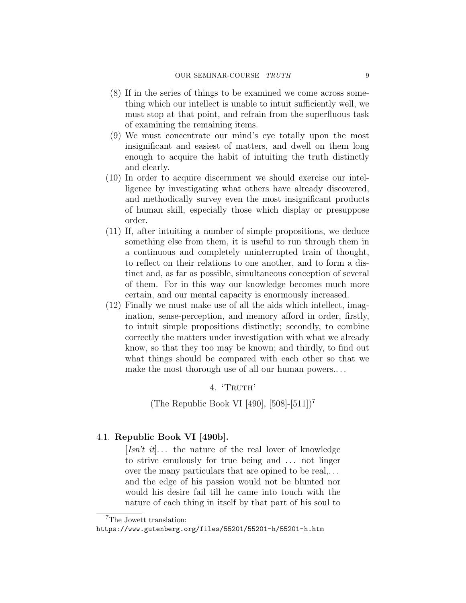- (8) If in the series of things to be examined we come across something which our intellect is unable to intuit sufficiently well, we must stop at that point, and refrain from the superfluous task of examining the remaining items.
- (9) We must concentrate our mind's eye totally upon the most insignificant and easiest of matters, and dwell on them long enough to acquire the habit of intuiting the truth distinctly and clearly.
- (10) In order to acquire discernment we should exercise our intelligence by investigating what others have already discovered, and methodically survey even the most insignificant products of human skill, especially those which display or presuppose order.
- (11) If, after intuiting a number of simple propositions, we deduce something else from them, it is useful to run through them in a continuous and completely uninterrupted train of thought, to reflect on their relations to one another, and to form a distinct and, as far as possible, simultaneous conception of several of them. For in this way our knowledge becomes much more certain, and our mental capacity is enormously increased.
- (12) Finally we must make use of all the aids which intellect, imagination, sense-perception, and memory afford in order, firstly, to intuit simple propositions distinctly; secondly, to combine correctly the matters under investigation with what we already know, so that they too may be known; and thirdly, to find out what things should be compared with each other so that we make the most thorough use of all our human powers....

4. 'TRUTH'

(The Republic Book VI [490],  $[508]$ - $[511]$ ]<sup>7</sup>

## 4.1. Republic Book VI [490b].

[ $Isn't it$ ]... the nature of the real lover of knowledge to strive emulously for true being and . . . not linger over the many particulars that are opined to be real,. . . and the edge of his passion would not be blunted nor would his desire fail till he came into touch with the nature of each thing in itself by that part of his soul to

<sup>7</sup>The Jowett translation:

https://www.gutenberg.org/files/55201/55201-h/55201-h.htm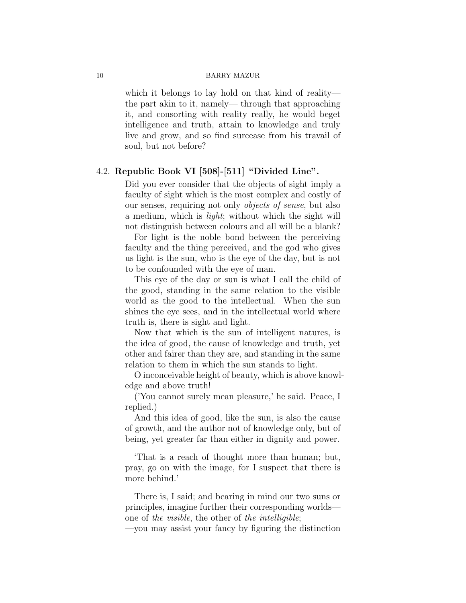which it belongs to lay hold on that kind of reality the part akin to it, namely— through that approaching it, and consorting with reality really, he would beget intelligence and truth, attain to knowledge and truly live and grow, and so find surcease from his travail of soul, but not before?

# 4.2. Republic Book VI [508]-[511] "Divided Line".

Did you ever consider that the objects of sight imply a faculty of sight which is the most complex and costly of our senses, requiring not only objects of sense, but also a medium, which is light; without which the sight will not distinguish between colours and all will be a blank?

For light is the noble bond between the perceiving faculty and the thing perceived, and the god who gives us light is the sun, who is the eye of the day, but is not to be confounded with the eye of man.

This eye of the day or sun is what I call the child of the good, standing in the same relation to the visible world as the good to the intellectual. When the sun shines the eye sees, and in the intellectual world where truth is, there is sight and light.

Now that which is the sun of intelligent natures, is the idea of good, the cause of knowledge and truth, yet other and fairer than they are, and standing in the same relation to them in which the sun stands to light.

O inconceivable height of beauty, which is above knowledge and above truth!

('You cannot surely mean pleasure,' he said. Peace, I replied.)

And this idea of good, like the sun, is also the cause of growth, and the author not of knowledge only, but of being, yet greater far than either in dignity and power.

'That is a reach of thought more than human; but, pray, go on with the image, for I suspect that there is more behind.'

There is, I said; and bearing in mind our two suns or principles, imagine further their corresponding worlds one of the visible, the other of the intelligible;

—you may assist your fancy by figuring the distinction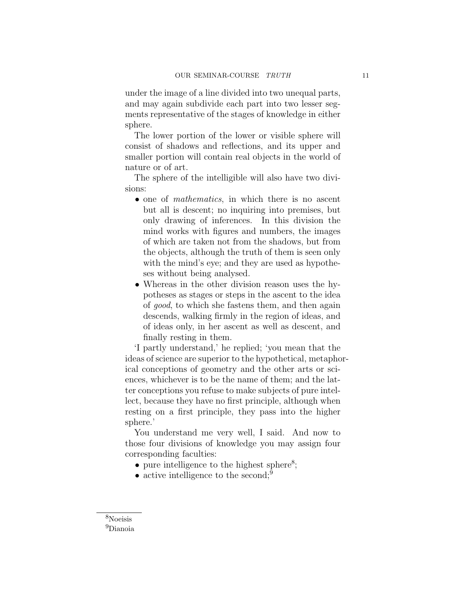under the image of a line divided into two unequal parts, and may again subdivide each part into two lesser segments representative of the stages of knowledge in either sphere.

The lower portion of the lower or visible sphere will consist of shadows and reflections, and its upper and smaller portion will contain real objects in the world of nature or of art.

The sphere of the intelligible will also have two divisions:

- one of *mathematics*, in which there is no ascent but all is descent; no inquiring into premises, but only drawing of inferences. In this division the mind works with figures and numbers, the images of which are taken not from the shadows, but from the objects, although the truth of them is seen only with the mind's eye; and they are used as hypotheses without being analysed.
- Whereas in the other division reason uses the hypotheses as stages or steps in the ascent to the idea of good, to which she fastens them, and then again descends, walking firmly in the region of ideas, and of ideas only, in her ascent as well as descent, and finally resting in them.

'I partly understand,' he replied; 'you mean that the ideas of science are superior to the hypothetical, metaphorical conceptions of geometry and the other arts or sciences, whichever is to be the name of them; and the latter conceptions you refuse to make subjects of pure intellect, because they have no first principle, although when resting on a first principle, they pass into the higher sphere.'

You understand me very well, I said. And now to those four divisions of knowledge you may assign four corresponding faculties:

- pure intelligence to the highest sphere<sup>8</sup>;
- active intelligence to the second;<sup>9</sup>

<sup>8</sup>Noeisis <sup>9</sup>Dianoia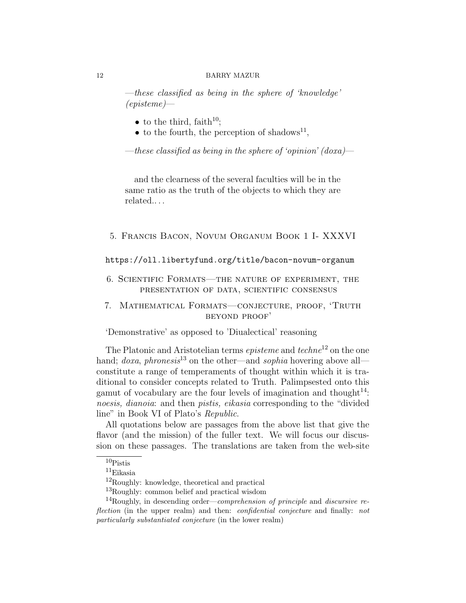—these classified as being in the sphere of 'knowledge' (episteme)—

- to the third, faith<sup>10</sup>;
- to the fourth, the perception of shadows<sup>11</sup>,

—these classified as being in the sphere of 'opinion'  $(doxa)$ —

and the clearness of the several faculties will be in the same ratio as the truth of the objects to which they are related.. . .

# 5. Francis Bacon, Novum Organum Book 1 I- XXXVI

# https://oll.libertyfund.org/title/bacon-novum-organum

# 6. Scientific Formats—the nature of experiment, the presentation of data, scientific consensus

7. Mathematical Formats—conjecture, proof, 'Truth beyond proof'

'Demonstrative' as opposed to 'Diualectical' reasoning

The Platonic and Aristotelian terms *episteme* and  $techne^{12}$  on the one hand; *doxa*, *phronesis*<sup>13</sup> on the other—and *sophia* hovering above all constitute a range of temperaments of thought within which it is traditional to consider concepts related to Truth. Palimpsested onto this gamut of vocabulary are the four levels of imagination and thought<sup>14</sup>: noesis, dianoia: and then *pistis*, *eikasia* corresponding to the "divided" line" in Book VI of Plato's Republic.

All quotations below are passages from the above list that give the flavor (and the mission) of the fuller text. We will focus our discussion on these passages. The translations are taken from the web-site

 $10$ Pistis

 ${}^{11}E$ ikasia

<sup>12</sup>Roughly: knowledge, theoretical and practical

<sup>&</sup>lt;sup>13</sup>Roughly: common belief and practical wisdom

<sup>&</sup>lt;sup>14</sup>Roughly, in descending order—*comprehension of principle* and *discursive re*flection (in the upper realm) and then: confidential conjecture and finally: not particularly substantiated conjecture (in the lower realm)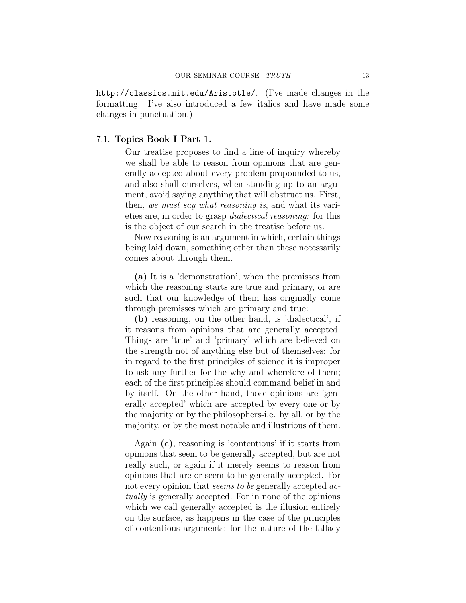http://classics.mit.edu/Aristotle/. (I've made changes in the formatting. I've also introduced a few italics and have made some changes in punctuation.)

### 7.1. Topics Book I Part 1.

Our treatise proposes to find a line of inquiry whereby we shall be able to reason from opinions that are generally accepted about every problem propounded to us, and also shall ourselves, when standing up to an argument, avoid saying anything that will obstruct us. First, then, we must say what reasoning is, and what its varieties are, in order to grasp dialectical reasoning: for this is the object of our search in the treatise before us.

Now reasoning is an argument in which, certain things being laid down, something other than these necessarily comes about through them.

(a) It is a 'demonstration', when the premisses from which the reasoning starts are true and primary, or are such that our knowledge of them has originally come through premisses which are primary and true:

(b) reasoning, on the other hand, is 'dialectical', if it reasons from opinions that are generally accepted. Things are 'true' and 'primary' which are believed on the strength not of anything else but of themselves: for in regard to the first principles of science it is improper to ask any further for the why and wherefore of them; each of the first principles should command belief in and by itself. On the other hand, those opinions are 'generally accepted' which are accepted by every one or by the majority or by the philosophers-i.e. by all, or by the majority, or by the most notable and illustrious of them.

Again (c), reasoning is 'contentious' if it starts from opinions that seem to be generally accepted, but are not really such, or again if it merely seems to reason from opinions that are or seem to be generally accepted. For not every opinion that *seems to be* generally accepted *ac*tually is generally accepted. For in none of the opinions which we call generally accepted is the illusion entirely on the surface, as happens in the case of the principles of contentious arguments; for the nature of the fallacy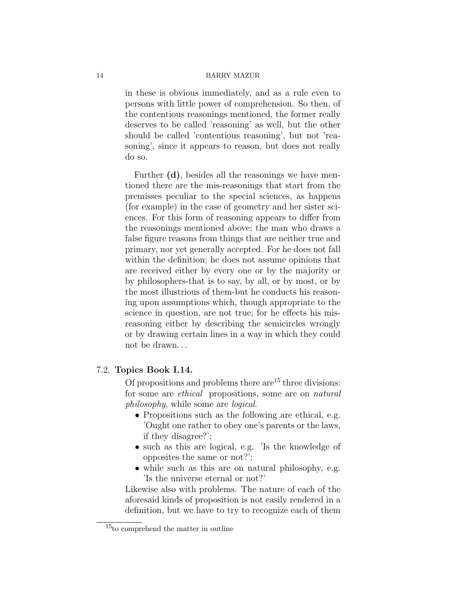in these is obvious immediately, and as a rule even to persons with little power of comprehension. So then, of the contentious reasonings mentioned, the former really deserves to be called 'reasoning' as well, but the other should be called 'contentious reasoning', but not 'reasoning', since it appears to reason, but does not really do so.

Further (d), besides all the reasonings we have mentioned there are the mis-reasonings that start from the premisses peculiar to the special sciences, as happens (for example) in the case of geometry and her sister sciences. For this form of reasoning appears to differ from the reasonings mentioned above; the man who draws a false figure reasons from things that are neither true and primary, nor yet generally accepted. For he does not fall within the definition; he does not assume opinions that are received either by every one or by the majority or by philosophers-that is to say, by all, or by most, or by the most illustrious of them-but he conducts his reasoning upon assumptions which, though appropriate to the science in question, are not true; for he effects his misreasoning either by describing the semicircles wrongly or by drawing certain lines in a way in which they could not be drawn. . .

### 7.2. Topics Book I.14.

Of propositions and problems there are  $15$  three divisions: for some are ethical propositions, some are on natural philosophy, while some are logical.

- Propositions such as the following are ethical, e.g. 'Ought one rather to obey one's parents or the laws, if they disagree?';
- such as this are logical, e.g. 'Is the knowledge of opposites the same or not?';
- while such as this are on natural philosophy, e.g. 'Is the universe eternal or not?'

Likewise also with problems. The nature of each of the aforesaid kinds of proposition is not easily rendered in a definition, but we have to try to recognize each of them

<sup>15</sup>to comprehend the matter in outline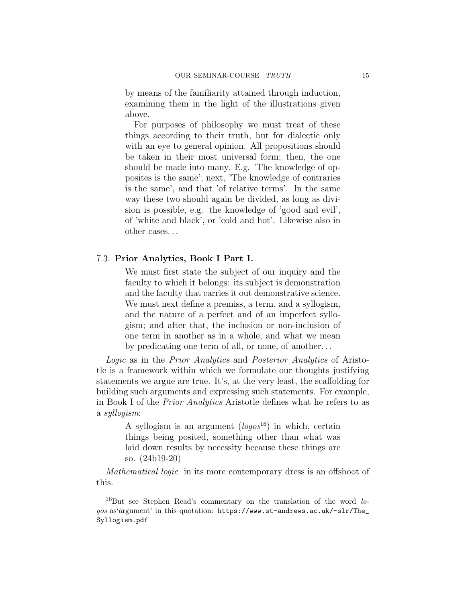by means of the familiarity attained through induction, examining them in the light of the illustrations given above.

For purposes of philosophy we must treat of these things according to their truth, but for dialectic only with an eye to general opinion. All propositions should be taken in their most universal form; then, the one should be made into many. E.g. 'The knowledge of opposites is the same'; next, 'The knowledge of contraries is the same', and that 'of relative terms'. In the same way these two should again be divided, as long as division is possible, e.g. the knowledge of 'good and evil', of 'white and black', or 'cold and hot'. Likewise also in other cases. . .

## 7.3. Prior Analytics, Book I Part I.

We must first state the subject of our inquiry and the faculty to which it belongs: its subject is demonstration and the faculty that carries it out demonstrative science. We must next define a premiss, a term, and a syllogism, and the nature of a perfect and of an imperfect syllogism; and after that, the inclusion or non-inclusion of one term in another as in a whole, and what we mean by predicating one term of all, or none, of another. . .

Logic as in the Prior Analytics and Posterior Analytics of Aristotle is a framework within which we formulate our thoughts justifying statements we argue are true. It's, at the very least, the scaffolding for building such arguments and expressing such statements. For example, in Book I of the Prior Analytics Aristotle defines what he refers to as a syllogism:

> A syllogism is an argument  $(logos^{16})$  in which, certain things being posited, something other than what was laid down results by necessity because these things are so. (24b19-20)

Mathematical logic in its more contemporary dress is an offshoot of this.

 $16$ But see Stephen Read's commentary on the translation of the word logos as'argument' in this quotation: https://www.st-andrews.ac.uk/~slr/The\_ Syllogism.pdf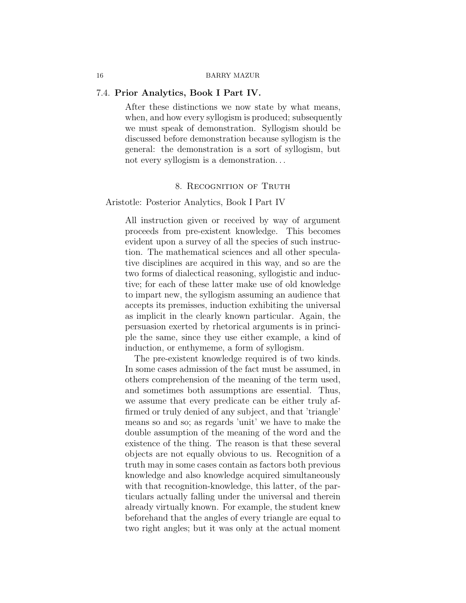### 7.4. Prior Analytics, Book I Part IV.

After these distinctions we now state by what means, when, and how every syllogism is produced; subsequently we must speak of demonstration. Syllogism should be discussed before demonstration because syllogism is the general: the demonstration is a sort of syllogism, but not every syllogism is a demonstration. . .

### 8. RECOGNITION OF TRUTH

Aristotle: Posterior Analytics, Book I Part IV

All instruction given or received by way of argument proceeds from pre-existent knowledge. This becomes evident upon a survey of all the species of such instruction. The mathematical sciences and all other speculative disciplines are acquired in this way, and so are the two forms of dialectical reasoning, syllogistic and inductive; for each of these latter make use of old knowledge to impart new, the syllogism assuming an audience that accepts its premisses, induction exhibiting the universal as implicit in the clearly known particular. Again, the persuasion exerted by rhetorical arguments is in principle the same, since they use either example, a kind of induction, or enthymeme, a form of syllogism.

The pre-existent knowledge required is of two kinds. In some cases admission of the fact must be assumed, in others comprehension of the meaning of the term used, and sometimes both assumptions are essential. Thus, we assume that every predicate can be either truly affirmed or truly denied of any subject, and that 'triangle' means so and so; as regards 'unit' we have to make the double assumption of the meaning of the word and the existence of the thing. The reason is that these several objects are not equally obvious to us. Recognition of a truth may in some cases contain as factors both previous knowledge and also knowledge acquired simultaneously with that recognition-knowledge, this latter, of the particulars actually falling under the universal and therein already virtually known. For example, the student knew beforehand that the angles of every triangle are equal to two right angles; but it was only at the actual moment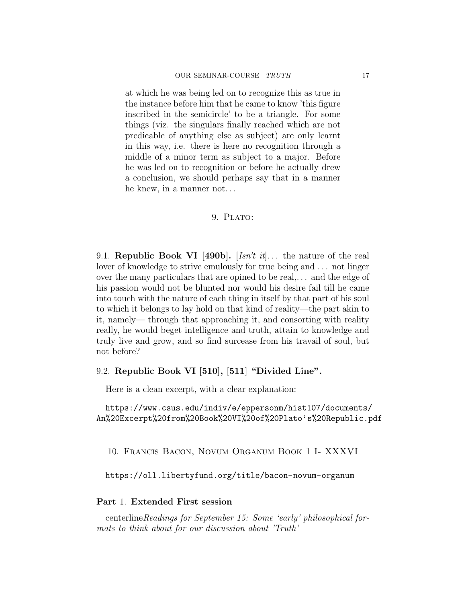at which he was being led on to recognize this as true in the instance before him that he came to know 'this figure inscribed in the semicircle' to be a triangle. For some things (viz. the singulars finally reached which are not predicable of anything else as subject) are only learnt in this way, i.e. there is here no recognition through a middle of a minor term as subject to a major. Before he was led on to recognition or before he actually drew a conclusion, we should perhaps say that in a manner he knew, in a manner not. . .

#### 9. PLATO:

9.1. **Republic Book VI** [490b]. [Isn't it]... the nature of the real lover of knowledge to strive emulously for true being and . . . not linger over the many particulars that are opined to be real,. . . and the edge of his passion would not be blunted nor would his desire fail till he came into touch with the nature of each thing in itself by that part of his soul to which it belongs to lay hold on that kind of reality—the part akin to it, namely— through that approaching it, and consorting with reality really, he would beget intelligence and truth, attain to knowledge and truly live and grow, and so find surcease from his travail of soul, but not before?

### 9.2. Republic Book VI [510], [511] "Divided Line".

Here is a clean excerpt, with a clear explanation:

https://www.csus.edu/indiv/e/eppersonm/hist107/documents/ An%20Excerpt%20from%20Book%20VI%20of%20Plato's%20Republic.pdf

10. Francis Bacon, Novum Organum Book 1 I- XXXVI

https://oll.libertyfund.org/title/bacon-novum-organum

## Part 1. Extended First session

centerlineReadings for September 15: Some 'early' philosophical formats to think about for our discussion about 'Truth'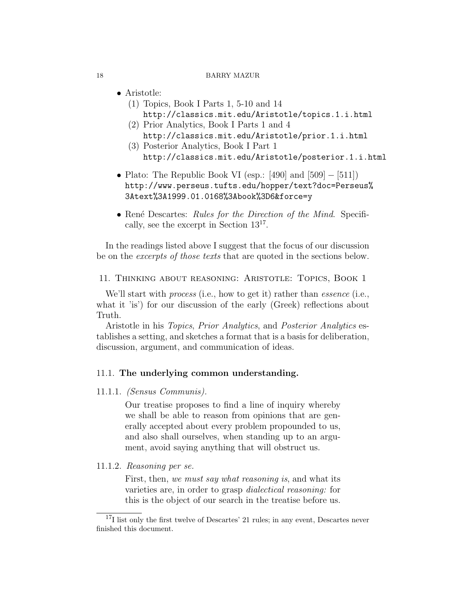• Aristotle:

- (1) Topics, Book I Parts 1, 5-10 and 14 http://classics.mit.edu/Aristotle/topics.1.i.html
- (2) Prior Analytics, Book I Parts 1 and 4 http://classics.mit.edu/Aristotle/prior.1.i.html
- (3) Posterior Analytics, Book I Part 1 http://classics.mit.edu/Aristotle/posterior.1.i.html
- Plato: The Republic Book VI (esp.: [490] and  $[509] [511]$ ) http://www.perseus.tufts.edu/hopper/text?doc=Perseus% 3Atext%3A1999.01.0168%3Abook%3D6&force=y
- René Descartes: Rules for the Direction of the Mind. Specifically, see the excerpt in Section  $13^{17}$ .

In the readings listed above I suggest that the focus of our discussion be on the excerpts of those texts that are quoted in the sections below.

11. Thinking about reasoning: Aristotle: Topics, Book 1

We'll start with *process* (i.e., how to get it) rather than *essence* (i.e., what it 'is') for our discussion of the early (Greek) reflections about Truth.

Aristotle in his Topics, Prior Analytics, and Posterior Analytics establishes a setting, and sketches a format that is a basis for deliberation, discussion, argument, and communication of ideas.

## 11.1. The underlying common understanding.

## 11.1.1. (Sensus Communis).

Our treatise proposes to find a line of inquiry whereby we shall be able to reason from opinions that are generally accepted about every problem propounded to us, and also shall ourselves, when standing up to an argument, avoid saying anything that will obstruct us.

## 11.1.2. Reasoning per se.

First, then, we must say what reasoning is, and what its varieties are, in order to grasp dialectical reasoning: for this is the object of our search in the treatise before us.

 $^{17}I$  list only the first twelve of Descartes' 21 rules; in any event, Descartes never finished this document.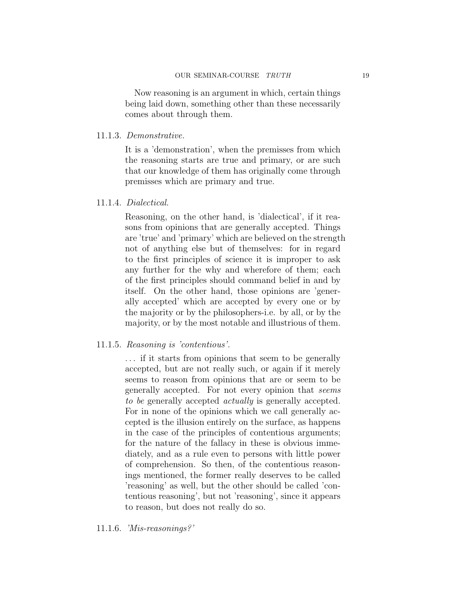Now reasoning is an argument in which, certain things being laid down, something other than these necessarily comes about through them.

## 11.1.3. Demonstrative.

It is a 'demonstration', when the premisses from which the reasoning starts are true and primary, or are such that our knowledge of them has originally come through premisses which are primary and true.

## 11.1.4. Dialectical.

Reasoning, on the other hand, is 'dialectical', if it reasons from opinions that are generally accepted. Things are 'true' and 'primary' which are believed on the strength not of anything else but of themselves: for in regard to the first principles of science it is improper to ask any further for the why and wherefore of them; each of the first principles should command belief in and by itself. On the other hand, those opinions are 'generally accepted' which are accepted by every one or by the majority or by the philosophers-i.e. by all, or by the majority, or by the most notable and illustrious of them.

## 11.1.5. Reasoning is 'contentious'.

. . . if it starts from opinions that seem to be generally accepted, but are not really such, or again if it merely seems to reason from opinions that are or seem to be generally accepted. For not every opinion that seems to be generally accepted actually is generally accepted. For in none of the opinions which we call generally accepted is the illusion entirely on the surface, as happens in the case of the principles of contentious arguments; for the nature of the fallacy in these is obvious immediately, and as a rule even to persons with little power of comprehension. So then, of the contentious reasonings mentioned, the former really deserves to be called 'reasoning' as well, but the other should be called 'contentious reasoning', but not 'reasoning', since it appears to reason, but does not really do so.

11.1.6. 'Mis-reasonings?'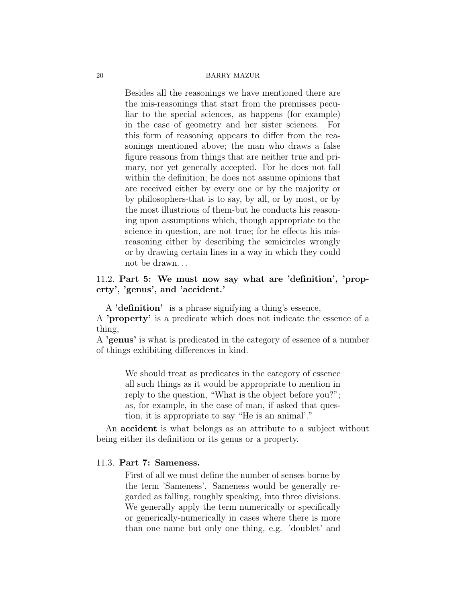Besides all the reasonings we have mentioned there are the mis-reasonings that start from the premisses peculiar to the special sciences, as happens (for example) in the case of geometry and her sister sciences. For this form of reasoning appears to differ from the reasonings mentioned above; the man who draws a false figure reasons from things that are neither true and primary, nor yet generally accepted. For he does not fall within the definition; he does not assume opinions that are received either by every one or by the majority or by philosophers-that is to say, by all, or by most, or by the most illustrious of them-but he conducts his reasoning upon assumptions which, though appropriate to the science in question, are not true; for he effects his misreasoning either by describing the semicircles wrongly or by drawing certain lines in a way in which they could not be drawn. . .

# 11.2. Part 5: We must now say what are 'definition', 'property', 'genus', and 'accident.'

A 'definition' is a phrase signifying a thing's essence,

A 'property' is a predicate which does not indicate the essence of a thing,

A 'genus' is what is predicated in the category of essence of a number of things exhibiting differences in kind.

> We should treat as predicates in the category of essence all such things as it would be appropriate to mention in reply to the question, "What is the object before you?"; as, for example, in the case of man, if asked that question, it is appropriate to say "He is an animal'."

An **accident** is what belongs as an attribute to a subject without being either its definition or its genus or a property.

## 11.3. Part 7: Sameness.

First of all we must define the number of senses borne by the term 'Sameness'. Sameness would be generally regarded as falling, roughly speaking, into three divisions. We generally apply the term numerically or specifically or generically-numerically in cases where there is more than one name but only one thing, e.g. 'doublet' and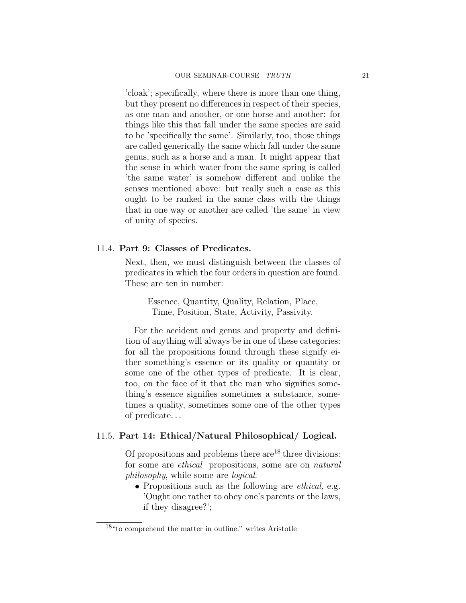'cloak'; specifically, where there is more than one thing, but they present no differences in respect of their species, as one man and another, or one horse and another: for things like this that fall under the same species are said to be 'specifically the same'. Similarly, too, those things are called generically the same which fall under the same genus, such as a horse and a man. It might appear that the sense in which water from the same spring is called 'the same water' is somehow different and unlike the senses mentioned above: but really such a case as this ought to be ranked in the same class with the things that in one way or another are called 'the same' in view of unity of species.

## 11.4. Part 9: Classes of Predicates.

Next, then, we must distinguish between the classes of predicates in which the four orders in question are found. These are ten in number:

> Essence, Quantity, Quality, Relation, Place, Time, Position, State, Activity, Passivity.

For the accident and genus and property and definition of anything will always be in one of these categories: for all the propositions found through these signify either something's essence or its quality or quantity or some one of the other types of predicate. It is clear, too, on the face of it that the man who signifies something's essence signifies sometimes a substance, sometimes a quality, sometimes some one of the other types of predicate. . .

# 11.5. Part 14: Ethical/Natural Philosophical/ Logical.

Of propositions and problems there are  $18$  three divisions: for some are ethical propositions, some are on natural philosophy, while some are logical.

• Propositions such as the following are *ethical*, e.g. 'Ought one rather to obey one's parents or the laws, if they disagree?';

<sup>18</sup>"to comprehend the matter in outline." writes Aristotle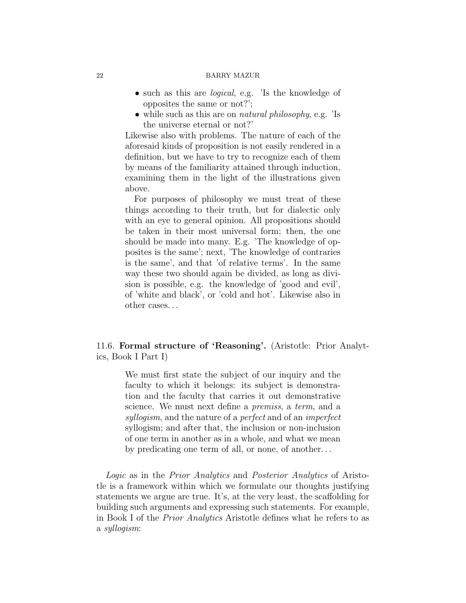- such as this are *logical*, e.g. 'Is the knowledge of opposites the same or not?';
- while such as this are on *natural philosophy*, e.g. 'Is the universe eternal or not?'

Likewise also with problems. The nature of each of the aforesaid kinds of proposition is not easily rendered in a definition, but we have to try to recognize each of them by means of the familiarity attained through induction, examining them in the light of the illustrations given above.

For purposes of philosophy we must treat of these things according to their truth, but for dialectic only with an eye to general opinion. All propositions should be taken in their most universal form; then, the one should be made into many. E.g. 'The knowledge of opposites is the same'; next, 'The knowledge of contraries is the same', and that 'of relative terms'. In the same way these two should again be divided, as long as division is possible, e.g. the knowledge of 'good and evil', of 'white and black', or 'cold and hot'. Likewise also in other cases. . .

# 11.6. Formal structure of 'Reasoning'. (Aristotle: Prior Analytics, Book I Part I)

We must first state the subject of our inquiry and the faculty to which it belongs: its subject is demonstration and the faculty that carries it out demonstrative science. We must next define a premiss, a term, and a syllogism, and the nature of a perfect and of an *imperfect* syllogism; and after that, the inclusion or non-inclusion of one term in another as in a whole, and what we mean by predicating one term of all, or none, of another. . .

Logic as in the Prior Analytics and Posterior Analytics of Aristotle is a framework within which we formulate our thoughts justifying statements we argue are true. It's, at the very least, the scaffolding for building such arguments and expressing such statements. For example, in Book I of the Prior Analytics Aristotle defines what he refers to as a syllogism: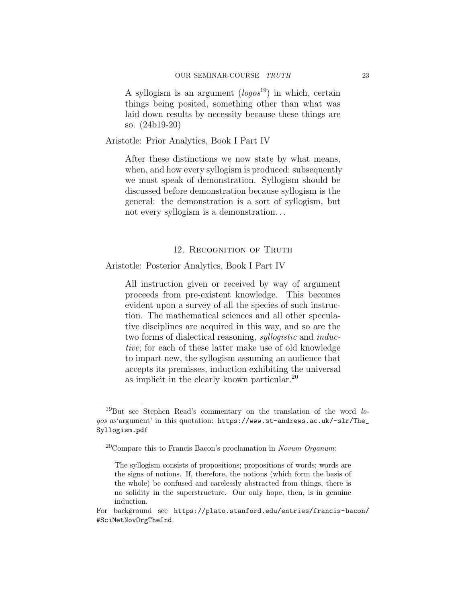A syllogism is an argument  $(log <sub>0</sub> s<sup>19</sup>)$  in which, certain things being posited, something other than what was laid down results by necessity because these things are so. (24b19-20)

Aristotle: Prior Analytics, Book I Part IV

After these distinctions we now state by what means, when, and how every syllogism is produced; subsequently we must speak of demonstration. Syllogism should be discussed before demonstration because syllogism is the general: the demonstration is a sort of syllogism, but not every syllogism is a demonstration. . .

#### 12. RECOGNITION OF TRUTH

Aristotle: Posterior Analytics, Book I Part IV

All instruction given or received by way of argument proceeds from pre-existent knowledge. This becomes evident upon a survey of all the species of such instruction. The mathematical sciences and all other speculative disciplines are acquired in this way, and so are the two forms of dialectical reasoning, syllogistic and inductive; for each of these latter make use of old knowledge to impart new, the syllogism assuming an audience that accepts its premisses, induction exhibiting the universal as implicit in the clearly known particular.<sup>20</sup>

 $19$ But see Stephen Read's commentary on the translation of the word logos as'argument' in this quotation: https://www.st-andrews.ac.uk/~slr/The\_ Syllogism.pdf

 $20$ Compare this to Francis Bacon's proclamation in Novum Organum:

The syllogism consists of propositions; propositions of words; words are the signs of notions. If, therefore, the notions (which form the basis of the whole) be confused and carelessly abstracted from things, there is no solidity in the superstructure. Our only hope, then, is in genuine induction.

For background see https://plato.stanford.edu/entries/francis-bacon/ #SciMetNovOrgTheInd.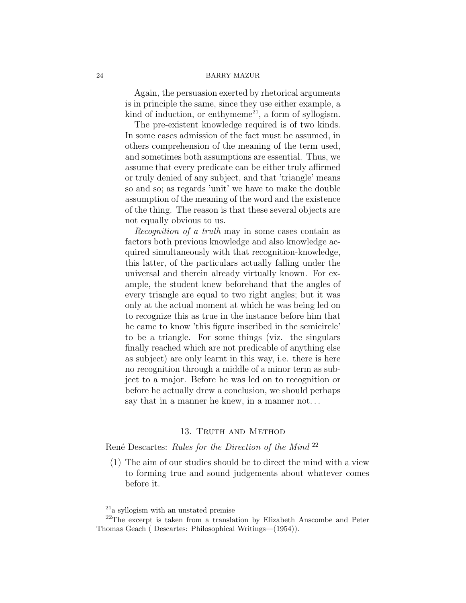Again, the persuasion exerted by rhetorical arguments is in principle the same, since they use either example, a kind of induction, or enthymeme<sup>21</sup>, a form of syllogism.

The pre-existent knowledge required is of two kinds. In some cases admission of the fact must be assumed, in others comprehension of the meaning of the term used, and sometimes both assumptions are essential. Thus, we assume that every predicate can be either truly affirmed or truly denied of any subject, and that 'triangle' means so and so; as regards 'unit' we have to make the double assumption of the meaning of the word and the existence of the thing. The reason is that these several objects are not equally obvious to us.

Recognition of a truth may in some cases contain as factors both previous knowledge and also knowledge acquired simultaneously with that recognition-knowledge, this latter, of the particulars actually falling under the universal and therein already virtually known. For example, the student knew beforehand that the angles of every triangle are equal to two right angles; but it was only at the actual moment at which he was being led on to recognize this as true in the instance before him that he came to know 'this figure inscribed in the semicircle' to be a triangle. For some things (viz. the singulars finally reached which are not predicable of anything else as subject) are only learnt in this way, i.e. there is here no recognition through a middle of a minor term as subject to a major. Before he was led on to recognition or before he actually drew a conclusion, we should perhaps say that in a manner he knew, in a manner not. . .

## 13. TRUTH AND METHOD

René Descartes: Rules for the Direction of the Mind  $^{22}$ 

(1) The aim of our studies should be to direct the mind with a view to forming true and sound judgements about whatever comes before it.

<sup>21</sup>a syllogism with an unstated premise

<sup>22</sup>The excerpt is taken from a translation by Elizabeth Anscombe and Peter Thomas Geach ( Descartes: Philosophical Writings—(1954)).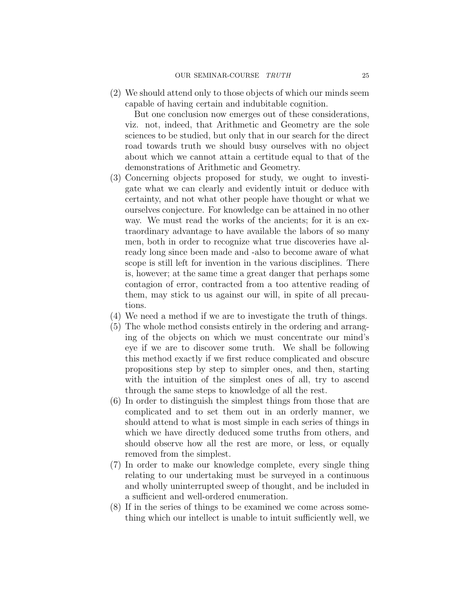(2) We should attend only to those objects of which our minds seem capable of having certain and indubitable cognition.

But one conclusion now emerges out of these considerations, viz. not, indeed, that Arithmetic and Geometry are the sole sciences to be studied, but only that in our search for the direct road towards truth we should busy ourselves with no object about which we cannot attain a certitude equal to that of the demonstrations of Arithmetic and Geometry.

- (3) Concerning objects proposed for study, we ought to investigate what we can clearly and evidently intuit or deduce with certainty, and not what other people have thought or what we ourselves conjecture. For knowledge can be attained in no other way. We must read the works of the ancients; for it is an extraordinary advantage to have available the labors of so many men, both in order to recognize what true discoveries have already long since been made and -also to become aware of what scope is still left for invention in the various disciplines. There is, however; at the same time a great danger that perhaps some contagion of error, contracted from a too attentive reading of them, may stick to us against our will, in spite of all precautions.
- (4) We need a method if we are to investigate the truth of things.
- (5) The whole method consists entirely in the ordering and arranging of the objects on which we must concentrate our mind's eye if we are to discover some truth. We shall be following this method exactly if we first reduce complicated and obscure propositions step by step to simpler ones, and then, starting with the intuition of the simplest ones of all, try to ascend through the same steps to knowledge of all the rest.
- (6) In order to distinguish the simplest things from those that are complicated and to set them out in an orderly manner, we should attend to what is most simple in each series of things in which we have directly deduced some truths from others, and should observe how all the rest are more, or less, or equally removed from the simplest.
- (7) In order to make our knowledge complete, every single thing relating to our undertaking must be surveyed in a continuous and wholly uninterrupted sweep of thought, and be included in a sufficient and well-ordered enumeration.
- (8) If in the series of things to be examined we come across something which our intellect is unable to intuit sufficiently well, we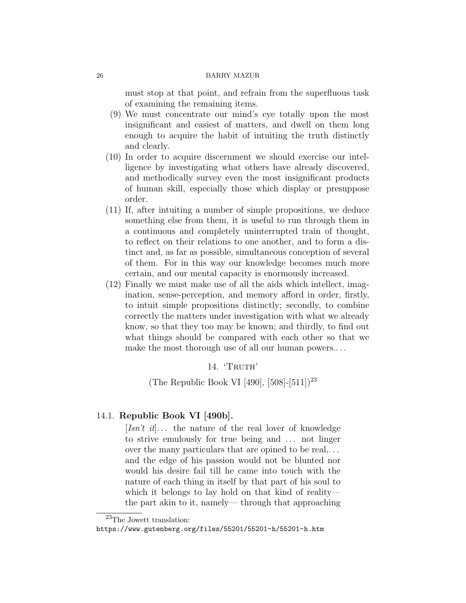must stop at that point, and refrain from the superfluous task of examining the remaining items.

- (9) We must concentrate our mind's eye totally upon the most insignificant and easiest of matters, and dwell on them long enough to acquire the habit of intuiting the truth distinctly and clearly.
- (10) In order to acquire discernment we should exercise our intelligence by investigating what others have already discovered, and methodically survey even the most insignificant products of human skill, especially those which display or presuppose order.
- (11) If, after intuiting a number of simple propositions, we deduce something else from them, it is useful to run through them in a continuous and completely uninterrupted train of thought, to reflect on their relations to one another, and to form a distinct and, as far as possible, simultaneous conception of several of them. For in this way our knowledge becomes much more certain, and our mental capacity is enormously increased.
- (12) Finally we must make use of all the aids which intellect, imagination, sense-perception, and memory afford in order, firstly, to intuit simple propositions distinctly; secondly, to combine correctly the matters under investigation with what we already know, so that they too may be known; and thirdly, to find out what things should be compared with each other so that we make the most thorough use of all our human powers....

## 14. 'TRUTH'

(The Republic Book VI [490],  $[508]$ - $[511]$ <sup>23</sup>

### 14.1. Republic Book VI [490b].

[ $Isn't$  it]... the nature of the real lover of knowledge to strive emulously for true being and ... not linger over the many particulars that are opined to be real,. . . and the edge of his passion would not be blunted nor would his desire fail till he came into touch with the nature of each thing in itself by that part of his soul to which it belongs to lay hold on that kind of reality the part akin to it, namely— through that approaching

 $\rm{^{23}The}$  Jowett translation:

https://www.gutenberg.org/files/55201/55201-h/55201-h.htm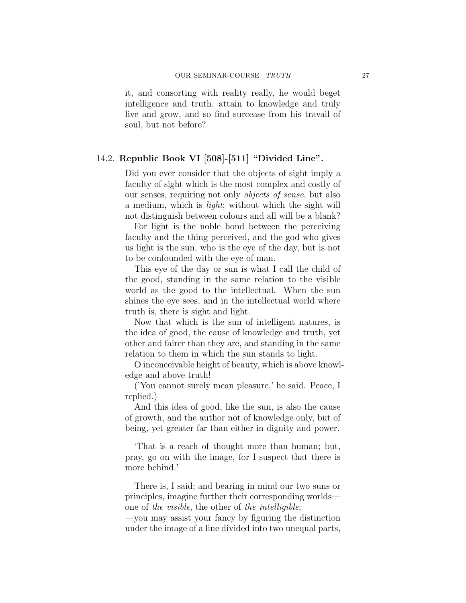it, and consorting with reality really, he would beget intelligence and truth, attain to knowledge and truly live and grow, and so find surcease from his travail of soul, but not before?

# 14.2. Republic Book VI [508]-[511] "Divided Line".

Did you ever consider that the objects of sight imply a faculty of sight which is the most complex and costly of our senses, requiring not only objects of sense, but also a medium, which is light; without which the sight will not distinguish between colours and all will be a blank?

For light is the noble bond between the perceiving faculty and the thing perceived, and the god who gives us light is the sun, who is the eye of the day, but is not to be confounded with the eye of man.

This eye of the day or sun is what I call the child of the good, standing in the same relation to the visible world as the good to the intellectual. When the sun shines the eye sees, and in the intellectual world where truth is, there is sight and light.

Now that which is the sun of intelligent natures, is the idea of good, the cause of knowledge and truth, yet other and fairer than they are, and standing in the same relation to them in which the sun stands to light.

O inconceivable height of beauty, which is above knowledge and above truth!

('You cannot surely mean pleasure,' he said. Peace, I replied.)

And this idea of good, like the sun, is also the cause of growth, and the author not of knowledge only, but of being, yet greater far than either in dignity and power.

'That is a reach of thought more than human; but, pray, go on with the image, for I suspect that there is more behind.'

There is, I said; and bearing in mind our two suns or principles, imagine further their corresponding worlds one of the visible, the other of the intelligible;

—you may assist your fancy by figuring the distinction under the image of a line divided into two unequal parts,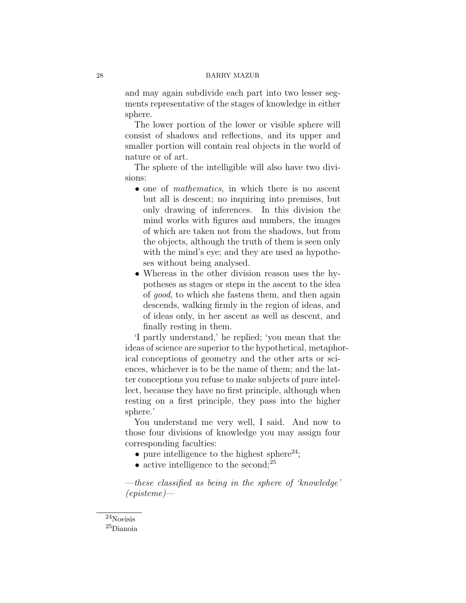and may again subdivide each part into two lesser segments representative of the stages of knowledge in either sphere.

The lower portion of the lower or visible sphere will consist of shadows and reflections, and its upper and smaller portion will contain real objects in the world of nature or of art.

The sphere of the intelligible will also have two divisions:

- one of *mathematics*, in which there is no ascent but all is descent; no inquiring into premises, but only drawing of inferences. In this division the mind works with figures and numbers, the images of which are taken not from the shadows, but from the objects, although the truth of them is seen only with the mind's eye; and they are used as hypotheses without being analysed.
- Whereas in the other division reason uses the hypotheses as stages or steps in the ascent to the idea of good, to which she fastens them, and then again descends, walking firmly in the region of ideas, and of ideas only, in her ascent as well as descent, and finally resting in them.

'I partly understand,' he replied; 'you mean that the ideas of science are superior to the hypothetical, metaphorical conceptions of geometry and the other arts or sciences, whichever is to be the name of them; and the latter conceptions you refuse to make subjects of pure intellect, because they have no first principle, although when resting on a first principle, they pass into the higher sphere.'

You understand me very well, I said. And now to those four divisions of knowledge you may assign four corresponding faculties:

- pure intelligence to the highest sphere<sup>24</sup>;
- active intelligence to the second;  $2^5$

—these classified as being in the sphere of 'knowledge' (episteme)—

# <sup>24</sup>Noeisis

<sup>25</sup>Dianoia